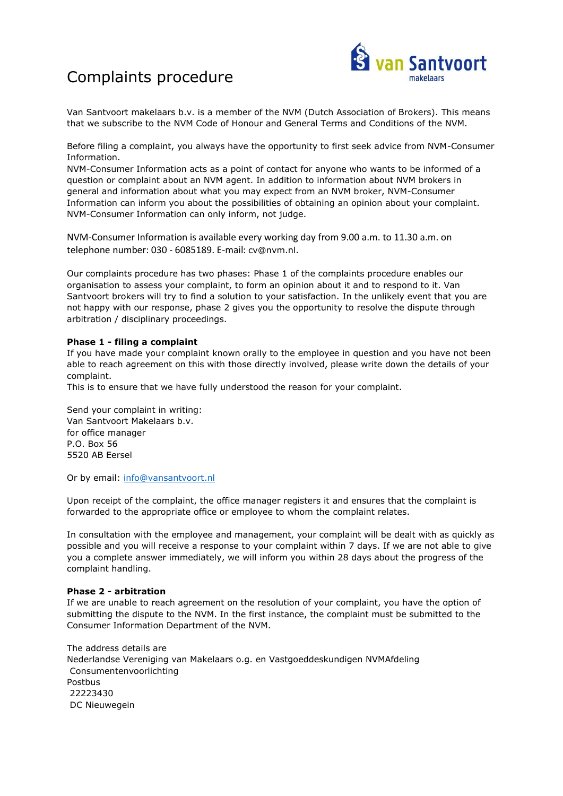## Complaints procedure



Van Santvoort makelaars b.v. is a member of the NVM (Dutch Association of Brokers). This means that we subscribe to the NVM Code of Honour and General Terms and Conditions of the NVM.

Before filing a complaint, you always have the opportunity to first seek advice from NVM-Consumer Information.

NVM-Consumer Information acts as a point of contact for anyone who wants to be informed of a question or complaint about an NVM agent. In addition to information about NVM brokers in general and information about what you may expect from an NVM broker, NVM-Consumer Information can inform you about the possibilities of obtaining an opinion about your complaint. NVM-Consumer Information can only inform, not judge.

NVM-Consumer Information is available every working day from 9.00 a.m. to 11.30 a.m. on telephone number: 030 - 6085189. E-mail: [cv@nvm.nl.](file://///NAS-EERSEL/Data/Users/Eric/Santvoort.makelaars/NVM/cv@nvm.nl)

Our complaints procedure has two phases: Phase 1 of the complaints procedure enables our organisation to assess your complaint, to form an opinion about it and to respond to it. Van Santvoort brokers will try to find a solution to your satisfaction. In the unlikely event that you are not happy with our response, phase 2 gives you the opportunity to resolve the dispute through arbitration / disciplinary proceedings.

## **Phase 1 - filing a complaint**

If you have made your complaint known orally to the employee in question and you have not been able to reach agreement on this with those directly involved, please write down the details of your complaint.

This is to ensure that we have fully understood the reason for your complaint.

Send your complaint in writing: Van Santvoort Makelaars b.v. for office manager P.O. Box 56 5520 AB Eersel

Or by email: [info@vansantvoort.nl](file://///NAS-EERSEL/Data/Users/Eric/Santvoort.makelaars/NVM/info@vansantvoort.nl)

Upon receipt of the complaint, the office manager registers it and ensures that the complaint is forwarded to the appropriate office or employee to whom the complaint relates.

In consultation with the employee and management, your complaint will be dealt with as quickly as possible and you will receive a response to your complaint within 7 days. If we are not able to give you a complete answer immediately, we will inform you within 28 days about the progress of the complaint handling.

## **Phase 2 - arbitration**

If we are unable to reach agreement on the resolution of your complaint, you have the option of submitting the dispute to the NVM. In the first instance, the complaint must be submitted to the Consumer Information Department of the NVM.

The address details are Nederlandse Vereniging van Makelaars o.g. en Vastgoeddeskundigen NVMAfdeling Consumentenvoorlichting Postbus 22223430 DC Nieuwegein